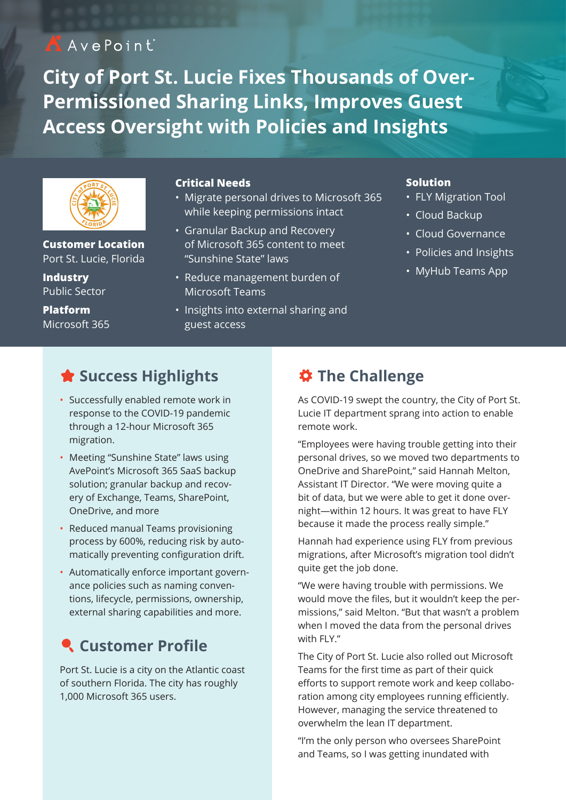# AAvePoint

**City of Port St. Lucie Fixes Thousands of Over-Permissioned Sharing Links, Improves Guest Access Oversight with Policies and Insights**



**Customer Location** Port St. Lucie, Florida

**Industry** Public Sector

**Platform** Microsoft 365

#### **Critical Needs**

- Migrate personal drives to Microsoft 365 while keeping permissions intact
- Granular Backup and Recovery of Microsoft 365 content to meet "Sunshine State" laws
- Reduce management burden of Microsoft Teams
- Insights into external sharing and guest access

#### **Solution**

- FLY Migration Tool
- Cloud Backup
- Cloud Governance
- Policies and Insights
- MyHub Teams App

## **Success Highlights**

- Successfully enabled remote work in response to the COVID-19 pandemic through a 12-hour Microsoft 365 migration.
- Meeting "Sunshine State" laws using AvePoint's Microsoft 365 SaaS backup solution; granular backup and recovery of Exchange, Teams, SharePoint, OneDrive, and more
- Reduced manual Teams provisioning process by 600%, reducing risk by automatically preventing configuration drift.
- Automatically enforce important governance policies such as naming conventions, lifecycle, permissions, ownership, external sharing capabilities and more.

## **Customer Profile**

Port St. Lucie is a city on the Atlantic coast of southern Florida. The city has roughly 1,000 Microsoft 365 users.

### **The Challenge**

As COVID-19 swept the country, the City of Port St. Lucie IT department sprang into action to enable remote work.

"Employees were having trouble getting into their personal drives, so we moved two departments to OneDrive and SharePoint," said Hannah Melton, Assistant IT Director. "We were moving quite a bit of data, but we were able to get it done overnight—within 12 hours. It was great to have FLY because it made the process really simple."

Hannah had experience using FLY from previous migrations, after Microsoft's migration tool didn't quite get the job done.

"We were having trouble with permissions. We would move the files, but it wouldn't keep the permissions," said Melton. "But that wasn't a problem when I moved the data from the personal drives with FLY."

The City of Port St. Lucie also rolled out Microsoft Teams for the first time as part of their quick efforts to support remote work and keep collaboration among city employees running efficiently. However, managing the service threatened to overwhelm the lean IT department.

"I'm the only person who oversees SharePoint and Teams, so I was getting inundated with